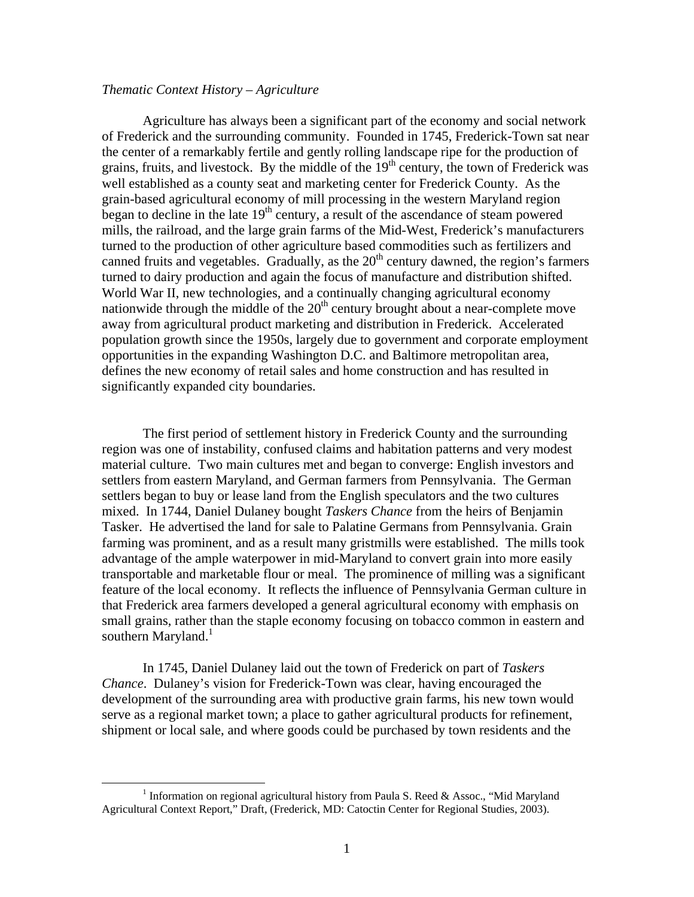# *Thematic Context History – Agriculture*

Agriculture has always been a significant part of the economy and social network of Frederick and the surrounding community. Founded in 1745, Frederick-Town sat near the center of a remarkably fertile and gently rolling landscape ripe for the production of grains, fruits, and livestock. By the middle of the  $19<sup>th</sup>$  century, the town of Frederick was well established as a county seat and marketing center for Frederick County. As the grain-based agricultural economy of mill processing in the western Maryland region began to decline in the late  $19<sup>th</sup>$  century, a result of the ascendance of steam powered mills, the railroad, and the large grain farms of the Mid-West, Frederick's manufacturers turned to the production of other agriculture based commodities such as fertilizers and canned fruits and vegetables. Gradually, as the  $20<sup>th</sup>$  century dawned, the region's farmers turned to dairy production and again the focus of manufacture and distribution shifted. World War II, new technologies, and a continually changing agricultural economy nationwide through the middle of the  $20<sup>th</sup>$  century brought about a near-complete move away from agricultural product marketing and distribution in Frederick. Accelerated population growth since the 1950s, largely due to government and corporate employment opportunities in the expanding Washington D.C. and Baltimore metropolitan area, defines the new economy of retail sales and home construction and has resulted in significantly expanded city boundaries.

The first period of settlement history in Frederick County and the surrounding region was one of instability, confused claims and habitation patterns and very modest material culture. Two main cultures met and began to converge: English investors and settlers from eastern Maryland, and German farmers from Pennsylvania. The German settlers began to buy or lease land from the English speculators and the two cultures mixed. In 1744, Daniel Dulaney bought *Taskers Chance* from the heirs of Benjamin Tasker. He advertised the land for sale to Palatine Germans from Pennsylvania. Grain farming was prominent, and as a result many gristmills were established. The mills took advantage of the ample waterpower in mid-Maryland to convert grain into more easily transportable and marketable flour or meal. The prominence of milling was a significant feature of the local economy. It reflects the influence of Pennsylvania German culture in that Frederick area farmers developed a general agricultural economy with emphasis on small grains, rather than the staple economy focusing on tobacco common in eastern and southern Maryland.<sup>1</sup>

In 1745, Daniel Dulaney laid out the town of Frederick on part of *Taskers Chance*. Dulaney's vision for Frederick-Town was clear, having encouraged the development of the surrounding area with productive grain farms, his new town would serve as a regional market town; a place to gather agricultural products for refinement, shipment or local sale, and where goods could be purchased by town residents and the

<span id="page-0-0"></span> $\frac{1}{1}$ <sup>1</sup> Information on regional agricultural history from Paula S. Reed & Assoc., "Mid Maryland Agricultural Context Report," Draft, (Frederick, MD: Catoctin Center for Regional Studies, 2003).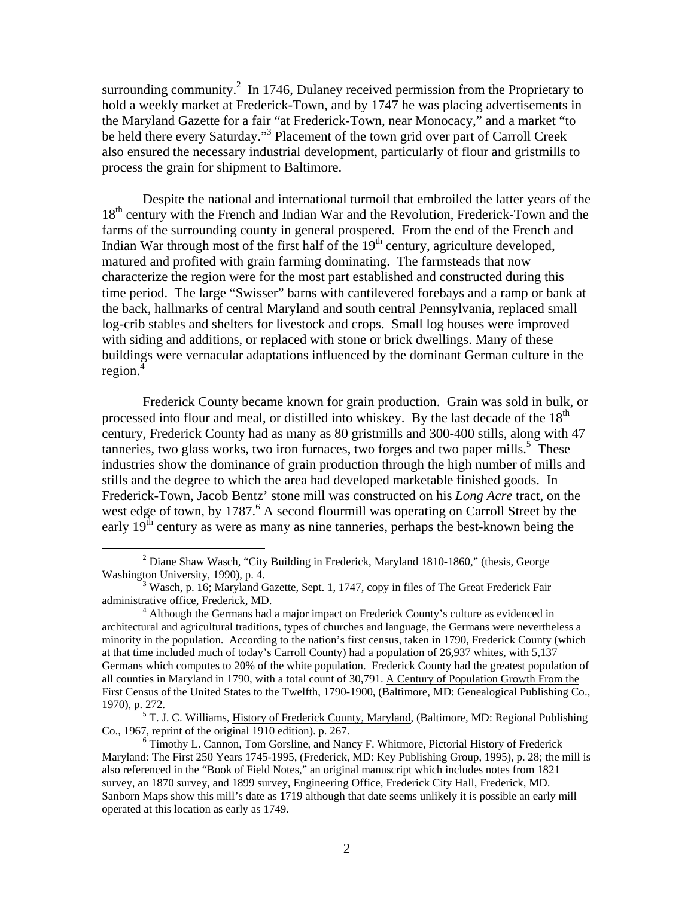surrounding community.<sup>[2](#page-1-0)</sup> In 1746, Dulaney received permission from the Proprietary to hold a weekly market at Frederick-Town, and by 1747 he was placing advertisements in the Maryland Gazette for a fair "at Frederick-Town, near Monocacy," and a market "to be held there every Saturday."<sup>[3](#page-1-1)</sup> Placement of the town grid over part of Carroll Creek also ensured the necessary industrial development, particularly of flour and gristmills to process the grain for shipment to Baltimore.

Despite the national and international turmoil that embroiled the latter years of the 18<sup>th</sup> century with the French and Indian War and the Revolution, Frederick-Town and the farms of the surrounding county in general prospered. From the end of the French and Indian War through most of the first half of the  $19<sup>th</sup>$  century, agriculture developed, matured and profited with grain farming dominating. The farmsteads that now characterize the region were for the most part established and constructed during this time period. The large "Swisser" barns with cantilevered forebays and a ramp or bank at the back, hallmarks of central Maryland and south central Pennsylvania, replaced small log-crib stables and shelters for livestock and crops. Small log houses were improved with siding and additions, or replaced with stone or brick dwellings. Many of these buildings were vernacular adaptations influenced by the dominant German culture in the region.<sup>[4](#page-1-2)</sup>

Frederick County became known for grain production. Grain was sold in bulk, or processed into flour and meal, or distilled into whiskey. By the last decade of the  $18<sup>th</sup>$ century, Frederick County had as many as 80 gristmills and 300-400 stills, along with 47 tanneries, two glass works, two iron furnaces, two forges and two paper mills.<sup>[5](#page-1-3)</sup> These industries show the dominance of grain production through the high number of mills and stills and the degree to which the area had developed marketable finished goods. In Frederick-Town, Jacob Bentz' stone mill was constructed on his *Long Acre* tract, on the west edge of town, by 1787.<sup>[6](#page-1-4)</sup> A second flourmill was operating on Carroll Street by the early 19<sup>th</sup> century as were as many as nine tanneries, perhaps the best-known being the

<span id="page-1-0"></span> $\overline{\phantom{a}}$ <sup>2</sup> Diane Shaw Wasch, "City Building in Frederick, Maryland 1810-1860," (thesis, George Washington University, 1990), p. 4.

<span id="page-1-1"></span> $W^3$  Wasch, p. 16; Maryland Gazette, Sept. 1, 1747, copy in files of The Great Frederick Fair administrative office, Frederick, MD. 4

<span id="page-1-2"></span><sup>&</sup>lt;sup>4</sup> Although the Germans had a major impact on Frederick County's culture as evidenced in architectural and agricultural traditions, types of churches and language, the Germans were nevertheless a minority in the population. According to the nation's first census, taken in 1790, Frederick County (which at that time included much of today's Carroll County) had a population of 26,937 whites, with 5,137 Germans which computes to 20% of the white population. Frederick County had the greatest population of all counties in Maryland in 1790, with a total count of 30,791. A Century of Population Growth From the First Census of the United States to the Twelfth, 1790-1900, (Baltimore, MD: Genealogical Publishing Co., 1970), p. 272. 5

<span id="page-1-3"></span><sup>&</sup>lt;sup>5</sup> T. J. C. Williams, History of Frederick County, Maryland, (Baltimore, MD: Regional Publishing Co., 1967, reprint of the original  $1910$  edition). p. 267.

<span id="page-1-4"></span> $6$  Timothy L. Cannon, Tom Gorsline, and Nancy F. Whitmore, Pictorial History of Frederick Maryland: The First 250 Years 1745-1995, (Frederick, MD: Key Publishing Group, 1995), p. 28; the mill is also referenced in the "Book of Field Notes," an original manuscript which includes notes from 1821 survey, an 1870 survey, and 1899 survey, Engineering Office, Frederick City Hall, Frederick, MD. Sanborn Maps show this mill's date as 1719 although that date seems unlikely it is possible an early mill operated at this location as early as 1749.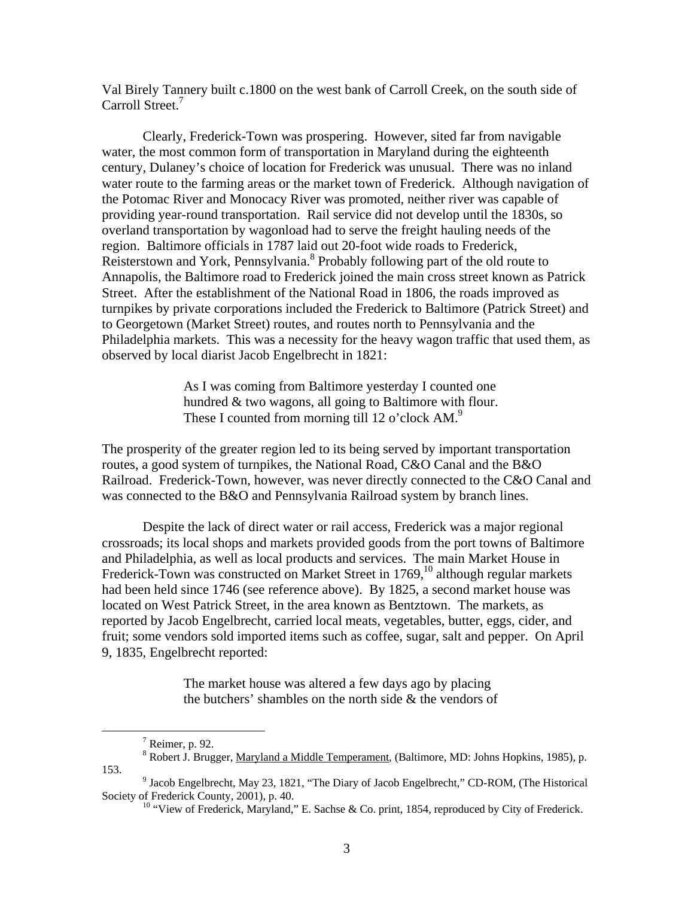Val Birely Tannery built c.1800 on the west bank of Carroll Creek, on the south side of Carroll Street.<sup>7</sup>

Clearly, Frederick-Town was prospering. However, sited far from navigable water, the most common form of transportation in Maryland during the eighteenth century, Dulaney's choice of location for Frederick was unusual. There was no inland water route to the farming areas or the market town of Frederick. Although navigation of the Potomac River and Monocacy River was promoted, neither river was capable of providing year-round transportation. Rail service did not develop until the 1830s, so overland transportation by wagonload had to serve the freight hauling needs of the region. Baltimore officials in 1787 laid out 20-foot wide roads to Frederick, Reisterstown and York, Pennsylvania.<sup>[8](#page-2-1)</sup> Probably following part of the old route to Annapolis, the Baltimore road to Frederick joined the main cross street known as Patrick Street. After the establishment of the National Road in 1806, the roads improved as turnpikes by private corporations included the Frederick to Baltimore (Patrick Street) and to Georgetown (Market Street) routes, and routes north to Pennsylvania and the Philadelphia markets. This was a necessity for the heavy wagon traffic that used them, as observed by local diarist Jacob Engelbrecht in 1821:

> As I was coming from Baltimore yesterday I counted one hundred & two wagons, all going to Baltimore with flour. These I counted from morning till 12 o'clock AM.<sup>[9](#page-2-2)</sup>

The prosperity of the greater region led to its being served by important transportation routes, a good system of turnpikes, the National Road, C&O Canal and the B&O Railroad. Frederick-Town, however, was never directly connected to the C&O Canal and was connected to the B&O and Pennsylvania Railroad system by branch lines.

Despite the lack of direct water or rail access, Frederick was a major regional crossroads; its local shops and markets provided goods from the port towns of Baltimore and Philadelphia, as well as local products and services. The main Market House in Frederick-Town was constructed on Market Street in 1769,<sup>10</sup> although regular markets had been held since 1746 (see reference above). By 1825, a second market house was located on West Patrick Street, in the area known as Bentztown. The markets, as reported by Jacob Engelbrecht, carried local meats, vegetables, butter, eggs, cider, and fruit; some vendors sold imported items such as coffee, sugar, salt and pepper. On April 9, 1835, Engelbrecht reported:

> The market house was altered a few days ago by placing the butchers' shambles on the north side  $\&$  the vendors of

<span id="page-2-0"></span> $\begin{array}{c|c}\n\hline\n\end{array}$  $<sup>7</sup>$  Reimer, p. 92.</sup>

<span id="page-2-1"></span>Robert J. Brugger, Maryland a Middle Temperament, (Baltimore, MD: Johns Hopkins, 1985), p. 153.

 $9$  Jacob Engelbrecht, May 23, 1821, "The Diary of Jacob Engelbrecht," CD-ROM, (The Historical Society of Frederick County, 2001), p. 40.<br><sup>10</sup> "View of Frederick, Maryland," E. Sachse & Co. print, 1854, reproduced by City of Frederick.

<span id="page-2-3"></span><span id="page-2-2"></span>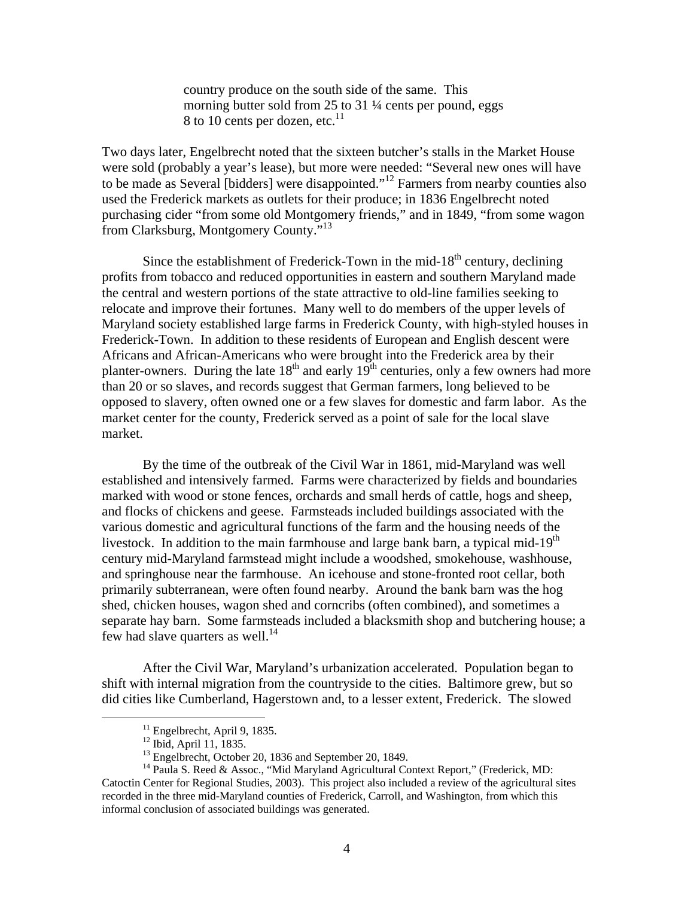country produce on the south side of the same. This morning butter sold from 25 to 31 ¼ cents per pound, eggs 8 to 10 cents per dozen, etc. $^{11}$ 

Two days later, Engelbrecht noted that the sixteen butcher's stalls in the Market House were sold (probably a year's lease), but more were needed: "Several new ones will have to be made as Several [bidders] were disappointed."[12 F](#page-3-1)armers from nearby counties also used the Frederick markets as outlets for their produce; in 1836 Engelbrecht noted purchasing cider "from some old Montgomery friends," and in 1849, "from some wagon from Clarksburg, Montgomery County.["13](#page-3-2)

Since the establishment of Frederick-Town in the mid-18<sup>th</sup> century, declining profits from tobacco and reduced opportunities in eastern and southern Maryland made the central and western portions of the state attractive to old-line families seeking to relocate and improve their fortunes. Many well to do members of the upper levels of Maryland society established large farms in Frederick County, with high-styled houses in Frederick-Town. In addition to these residents of European and English descent were Africans and African-Americans who were brought into the Frederick area by their planter-owners. During the late  $18<sup>th</sup>$  and early  $19<sup>th</sup>$  centuries, only a few owners had more than 20 or so slaves, and records suggest that German farmers, long believed to be opposed to slavery, often owned one or a few slaves for domestic and farm labor. As the market center for the county, Frederick served as a point of sale for the local slave market.

By the time of the outbreak of the Civil War in 1861, mid-Maryland was well established and intensively farmed. Farms were characterized by fields and boundaries marked with wood or stone fences, orchards and small herds of cattle, hogs and sheep, and flocks of chickens and geese. Farmsteads included buildings associated with the various domestic and agricultural functions of the farm and the housing needs of the livestock. In addition to the main farmhouse and large bank barn, a typical mid-19<sup>th</sup> century mid-Maryland farmstead might include a woodshed, smokehouse, washhouse, and springhouse near the farmhouse. An icehouse and stone-fronted root cellar, both primarily subterranean, were often found nearby. Around the bank barn was the hog shed, chicken houses, wagon shed and corncribs (often combined), and sometimes a separate hay barn. Some farmsteads included a blacksmith shop and butchering house; a few had slave quarters as well. $^{14}$ 

After the Civil War, Maryland's urbanization accelerated. Population began to shift with internal migration from the countryside to the cities. Baltimore grew, but so did cities like Cumberland, Hagerstown and, to a lesser extent, Frederick. The slowed

<span id="page-3-0"></span>

<span id="page-3-1"></span>

<span id="page-3-3"></span><span id="page-3-2"></span>

<sup>&</sup>lt;sup>11</sup> Engelbrecht, April 9, 1835.<br><sup>12</sup> Ibid, April 11, 1835.<br><sup>13</sup> Engelbrecht, October 20, 1836 and September 20, 1849.<br><sup>14</sup> Paula S. Reed & Assoc., "Mid Maryland Agricultural Context Report," (Frederick, MD: Catoctin Center for Regional Studies, 2003). This project also included a review of the agricultural sites recorded in the three mid-Maryland counties of Frederick, Carroll, and Washington, from which this informal conclusion of associated buildings was generated.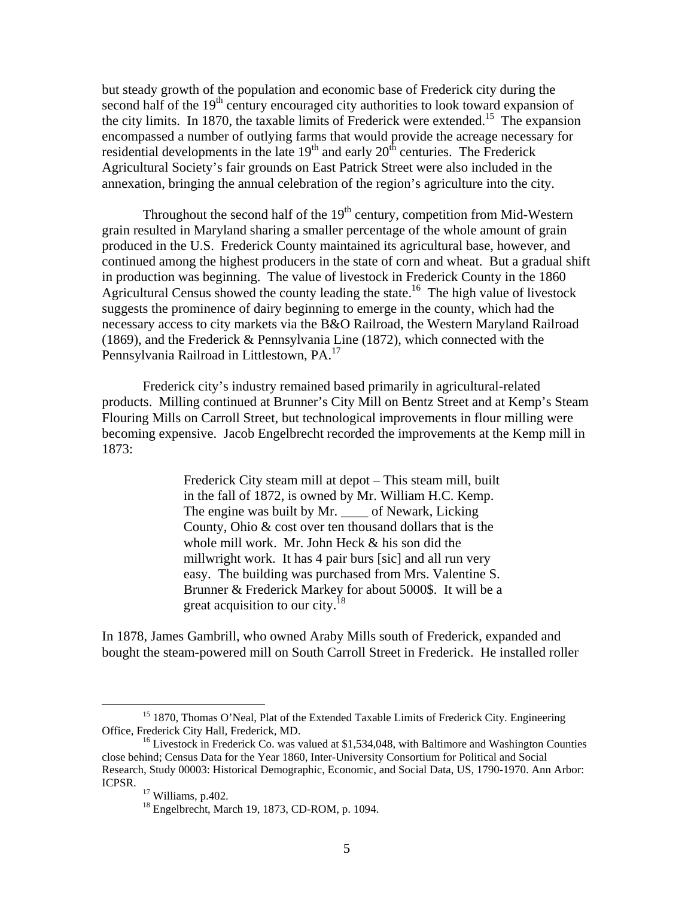but steady growth of the population and economic base of Frederick city during the second half of the 19<sup>th</sup> century encouraged city authorities to look toward expansion of the city limits. In 1870, the taxable limits of Frederick were extended.<sup>15</sup> The expansion encompassed a number of outlying farms that would provide the acreage necessary for residential developments in the late  $19<sup>th</sup>$  and early  $20<sup>th</sup>$  centuries. The Frederick Agricultural Society's fair grounds on East Patrick Street were also included in the annexation, bringing the annual celebration of the region's agriculture into the city.

Throughout the second half of the  $19<sup>th</sup>$  century, competition from Mid-Western grain resulted in Maryland sharing a smaller percentage of the whole amount of grain produced in the U.S. Frederick County maintained its agricultural base, however, and continued among the highest producers in the state of corn and wheat. But a gradual shift in production was beginning. The value of livestock in Frederick County in the 1860 Agricultural Census showed the county leading the state.<sup>16</sup> The high value of livestock suggests the prominence of dairy beginning to emerge in the county, which had the necessary access to city markets via the B&O Railroad, the Western Maryland Railroad (1869), and the Frederick & Pennsylvania Line (1872), which connected with the Pennsylvania Railroad in Littlestown, PA.[17](#page-4-2) 

Frederick city's industry remained based primarily in agricultural-related products. Milling continued at Brunner's City Mill on Bentz Street and at Kemp's Steam Flouring Mills on Carroll Street, but technological improvements in flour milling were becoming expensive. Jacob Engelbrecht recorded the improvements at the Kemp mill in 1873:

> Frederick City steam mill at depot – This steam mill, built in the fall of 1872, is owned by Mr. William H.C. Kemp. The engine was built by Mr. of Newark, Licking County, Ohio & cost over ten thousand dollars that is the whole mill work. Mr. John Heck & his son did the millwright work. It has 4 pair burs [sic] and all run very easy. The building was purchased from Mrs. Valentine S. Brunner & Frederick Markey for about 5000\$. It will be a great acquisition to our city.<sup>[18](#page-4-3)</sup>

In 1878, James Gambrill, who owned Araby Mills south of Frederick, expanded and bought the steam-powered mill on South Carroll Street in Frederick. He installed roller

<span id="page-4-0"></span> $15$  1870, Thomas O'Neal, Plat of the Extended Taxable Limits of Frederick City. Engineering Office, Frederick City Hall, Frederick, MD.

<span id="page-4-1"></span> $^{16}$  Livestock in Frederick Co. was valued at \$1,534,048, with Baltimore and Washington Counties close behind; Census Data for the Year 1860, Inter-University Consortium for Political and Social Research, Study 00003: Historical Demographic, Economic, and Social Data, US, 1790-1970. Ann Arbor: ICPSR.<br><sup>17</sup> Williams, p.402.<br><sup>18</sup> Engelbrecht, March 19, 1873, CD-ROM, p. 1094.

<span id="page-4-2"></span>

<span id="page-4-3"></span>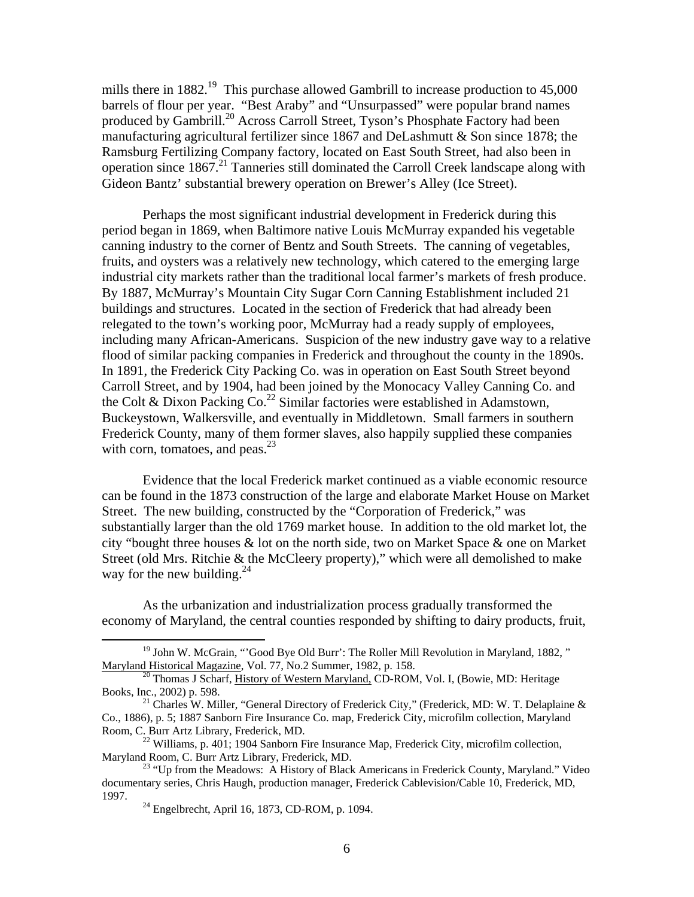mills there in 1882.<sup>19</sup> This purchase allowed Gambrill to increase production to 45,000 barrels of flour per year. "Best Araby" and "Unsurpassed" were popular brand names produced by Gambrill[.20](#page-5-1) Across Carroll Street, Tyson's Phosphate Factory had been manufacturing agricultural fertilizer since 1867 and DeLashmutt & Son since 1878; the Ramsburg Fertilizing Company factory, located on East South Street, had also been in operation since 1867.<sup>21</sup> Tanneries still dominated the Carroll Creek landscape along with Gideon Bantz' substantial brewery operation on Brewer's Alley (Ice Street).

Perhaps the most significant industrial development in Frederick during this period began in 1869, when Baltimore native Louis McMurray expanded his vegetable canning industry to the corner of Bentz and South Streets. The canning of vegetables, fruits, and oysters was a relatively new technology, which catered to the emerging large industrial city markets rather than the traditional local farmer's markets of fresh produce. By 1887, McMurray's Mountain City Sugar Corn Canning Establishment included 21 buildings and structures. Located in the section of Frederick that had already been relegated to the town's working poor, McMurray had a ready supply of employees, including many African-Americans. Suspicion of the new industry gave way to a relative flood of similar packing companies in Frederick and throughout the county in the 1890s. In 1891, the Frederick City Packing Co. was in operation on East South Street beyond Carroll Street, and by 1904, had been joined by the Monocacy Valley Canning Co. and the Colt & Dixon Packing Co.<sup>22</sup> Similar factories were established in Adamstown, Buckeystown, Walkersville, and eventually in Middletown. Small farmers in southern Frederick County, many of them former slaves, also happily supplied these companies with corn, tomatoes, and peas. $23$ 

Evidence that the local Frederick market continued as a viable economic resource can be found in the 1873 construction of the large and elaborate Market House on Market Street. The new building, constructed by the "Corporation of Frederick," was substantially larger than the old 1769 market house. In addition to the old market lot, the city "bought three houses & lot on the north side, two on Market Space & one on Market Street (old Mrs. Ritchie & the McCleery property)," which were all demolished to make way for the new building. $^{24}$  $^{24}$  $^{24}$ 

As the urbanization and industrialization process gradually transformed the economy of Maryland, the central counties responded by shifting to dairy products, fruit,

<span id="page-5-0"></span><sup>&</sup>lt;sup>19</sup> John W. McGrain, "'Good Bye Old Burr': The Roller Mill Revolution in Maryland, 1882."

<span id="page-5-1"></span>Maryland Historical Magazine, Vol. 77, No.2 Summer, 1982, p. 158.<br><sup>20</sup> Thomas J Scharf, <u>History of Western Maryland,</u> CD-ROM, Vol. I, (Bowie, MD: Heritage Books, Inc., 2002) p. 598.

<span id="page-5-2"></span><sup>&</sup>lt;sup>21</sup> Charles W. Miller, "General Directory of Frederick City," (Frederick, MD: W. T. Delaplaine & Co., 1886), p. 5; 1887 Sanborn Fire Insurance Co. map, Frederick City, microfilm collection, Maryland Room, C. Burr Artz Library, Frederick, MD.<br><sup>22</sup> Williams, p. 401; 1904 Sanborn Fire Insurance Map, Frederick City, microfilm collection,

<span id="page-5-3"></span>Maryland Room, C. Burr Artz Library, Frederick, MD.<br><sup>23</sup> "Up from the Meadows: A History of Black Americans in Frederick County, Maryland." Video

documentary series, Chris Haugh, production manager, Frederick Cablevision/Cable 10, Frederick, MD, 1997. 24 Engelbrecht, April 16, 1873, CD-ROM, p. 1094.

<span id="page-5-5"></span><span id="page-5-4"></span>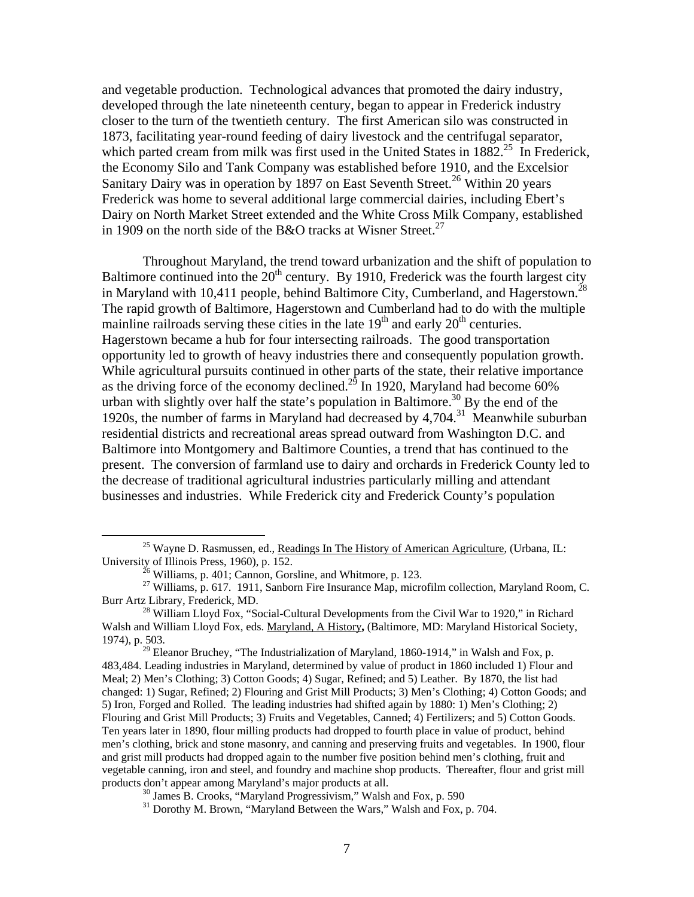and vegetable production. Technological advances that promoted the dairy industry, developed through the late nineteenth century, began to appear in Frederick industry closer to the turn of the twentieth century. The first American silo was constructed in 1873, facilitating year-round feeding of dairy livestock and the centrifugal separator, which parted cream from milk was first used in the United States in  $1882<sup>25</sup>$  In Frederick, the Economy Silo and Tank Company was established before 1910, and the Excelsior Sanitary Dairy was in operation by 1897 on East Seventh Street.<sup>26</sup> Within 20 years Frederick was home to several additional large commercial dairies, including Ebert's Dairy on North Market Street extended and the White Cross Milk Company, established in 1909 on the north side of the B&O tracks at Wisner Street.<sup>27</sup>

Throughout Maryland, the trend toward urbanization and the shift of population to Baltimore continued into the  $20<sup>th</sup>$  century. By 1910, Frederick was the fourth largest city in Maryland with 10,411 people, behind Baltimore City, Cumberland, and Hagerstown.<sup>28</sup> The rapid growth of Baltimore, Hagerstown and Cumberland had to do with the multiple mainline railroads serving these cities in the late  $19<sup>th</sup>$  and early  $20<sup>th</sup>$  centuries. Hagerstown became a hub for four intersecting railroads. The good transportation opportunity led to growth of heavy industries there and consequently population growth. While agricultural pursuits continued in other parts of the state, their relative importance as the driving force of the economy declined.<sup>29</sup> In 1920, Maryland had become  $\overline{60\%}$ urban with slightly over half the state's population in Baltimore.<sup>30</sup> By the end of the 1920s, the number of farms in Maryland had decreased by 4,704.[31](#page-6-6) Meanwhile suburban residential districts and recreational areas spread outward from Washington D.C. and Baltimore into Montgomery and Baltimore Counties, a trend that has continued to the present. The conversion of farmland use to dairy and orchards in Frederick County led to the decrease of traditional agricultural industries particularly milling and attendant businesses and industries. While Frederick city and Frederick County's population

<sup>&</sup>lt;sup>25</sup> Wayne D. Rasmussen, ed., <u>Readings In The History of American Agriculture</u>, (Urbana, IL: University of Illinois Press, 1960), p. 152.

<span id="page-6-3"></span><span id="page-6-2"></span><span id="page-6-1"></span><span id="page-6-0"></span>

<sup>&</sup>lt;sup>26</sup> Williams, p. 401; Cannon, Gorsline, and Whitmore, p. 123. <sup>27</sup> Williams, p. 617. 1911, Sanborn Fire Insurance Map, microfilm collection, Maryland Room, C. Burr Artz Library, Frederick, MD.<br><sup>28</sup> William Lloyd Fox, "Social-Cultural Developments from the Civil War to 1920," in Richard

Walsh and William Lloyd Fox, eds. Maryland, A History**,** (Baltimore, MD: Maryland Historical Society, 1974), p. 503.

<span id="page-6-4"></span><sup>&</sup>lt;sup>29</sup> Eleanor Bruchey, "The Industrialization of Maryland, 1860-1914," in Walsh and Fox, p. 483,484. Leading industries in Maryland, determined by value of product in 1860 included 1) Flour and Meal; 2) Men's Clothing; 3) Cotton Goods; 4) Sugar, Refined; and 5) Leather. By 1870, the list had changed: 1) Sugar, Refined; 2) Flouring and Grist Mill Products; 3) Men's Clothing; 4) Cotton Goods; and 5) Iron, Forged and Rolled. The leading industries had shifted again by 1880: 1) Men's Clothing; 2) Flouring and Grist Mill Products; 3) Fruits and Vegetables, Canned; 4) Fertilizers; and 5) Cotton Goods. Ten years later in 1890, flour milling products had dropped to fourth place in value of product, behind men's clothing, brick and stone masonry, and canning and preserving fruits and vegetables. In 1900, flour and grist mill products had dropped again to the number five position behind men's clothing, fruit and vegetable canning, iron and steel, and foundry and machine shop products. Thereafter, flour and grist mill

<span id="page-6-6"></span><span id="page-6-5"></span>

 $\frac{30}{31}$  James B. Crooks, "Maryland Progressivism," Walsh and Fox, p. 590  $\frac{31}{31}$  Dorothy M. Brown, "Maryland Between the Wars," Walsh and Fox, p. 704.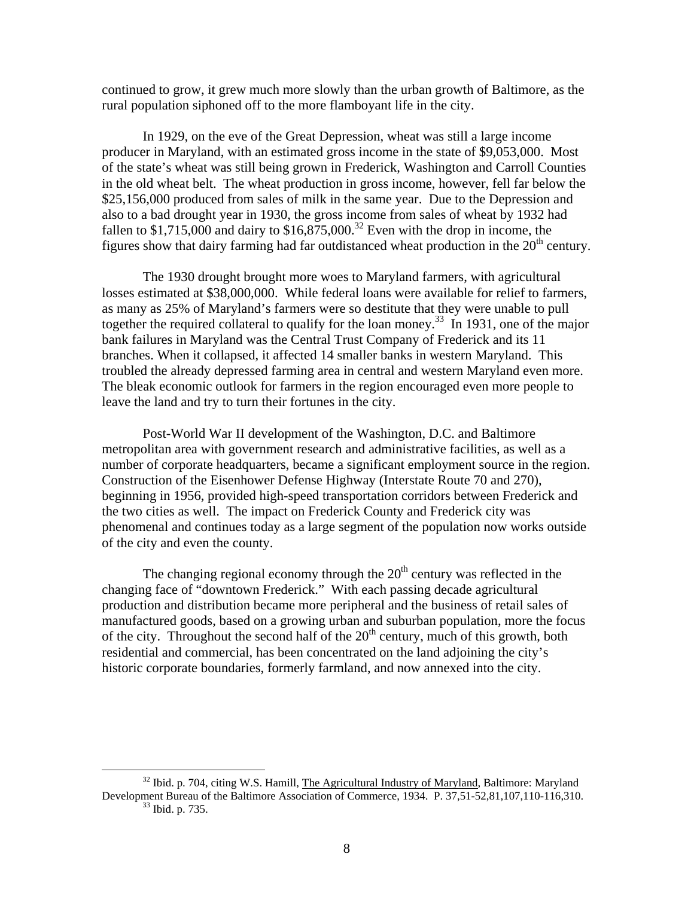continued to grow, it grew much more slowly than the urban growth of Baltimore, as the rural population siphoned off to the more flamboyant life in the city.

In 1929, on the eve of the Great Depression, wheat was still a large income producer in Maryland, with an estimated gross income in the state of \$9,053,000. Most of the state's wheat was still being grown in Frederick, Washington and Carroll Counties in the old wheat belt. The wheat production in gross income, however, fell far below the \$25,156,000 produced from sales of milk in the same year. Due to the Depression and also to a bad drought year in 1930, the gross income from sales of wheat by 1932 had fallen to \$1,715,000 and dairy to  $$16,875,000$ .<sup>32</sup> Even with the drop in income, the figures show that dairy farming had far outdistanced wheat production in the  $20<sup>th</sup>$  century.

The 1930 drought brought more woes to Maryland farmers, with agricultural losses estimated at \$38,000,000. While federal loans were available for relief to farmers, as many as 25% of Maryland's farmers were so destitute that they were unable to pull together the required collateral to qualify for the loan money.<sup>33</sup> In 1931, one of the major bank failures in Maryland was the Central Trust Company of Frederick and its 11 branches. When it collapsed, it affected 14 smaller banks in western Maryland. This troubled the already depressed farming area in central and western Maryland even more. The bleak economic outlook for farmers in the region encouraged even more people to leave the land and try to turn their fortunes in the city.

Post-World War II development of the Washington, D.C. and Baltimore metropolitan area with government research and administrative facilities, as well as a number of corporate headquarters, became a significant employment source in the region. Construction of the Eisenhower Defense Highway (Interstate Route 70 and 270), beginning in 1956, provided high-speed transportation corridors between Frederick and the two cities as well. The impact on Frederick County and Frederick city was phenomenal and continues today as a large segment of the population now works outside of the city and even the county.

The changing regional economy through the  $20<sup>th</sup>$  century was reflected in the changing face of "downtown Frederick." With each passing decade agricultural production and distribution became more peripheral and the business of retail sales of manufactured goods, based on a growing urban and suburban population, more the focus of the city. Throughout the second half of the  $20<sup>th</sup>$  century, much of this growth, both residential and commercial, has been concentrated on the land adjoining the city's historic corporate boundaries, formerly farmland, and now annexed into the city.

<span id="page-7-1"></span><span id="page-7-0"></span><sup>&</sup>lt;sup>32</sup> Ibid. p. 704, citing W.S. Hamill, The Agricultural Industry of Maryland, Baltimore: Maryland Development Bureau of the Baltimore Association of Commerce, 1934. P. 37,51-52,81,107,110-116,310. 33 Ibid. p. 735.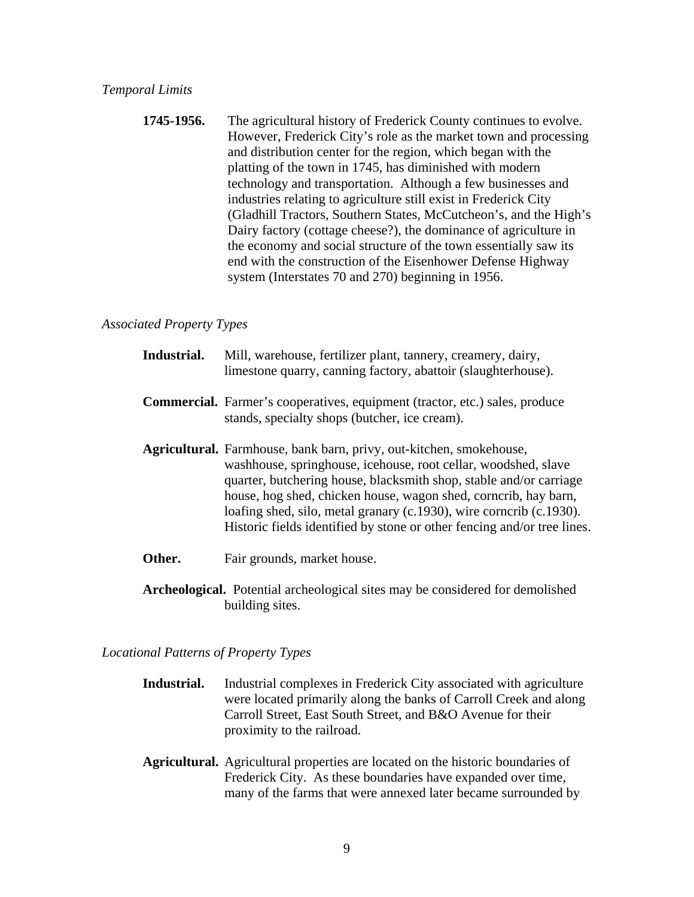**1745-1956.** The agricultural history of Frederick County continues to evolve. However, Frederick City's role as the market town and processing and distribution center for the region, which began with the platting of the town in 1745, has diminished with modern technology and transportation. Although a few businesses and industries relating to agriculture still exist in Frederick City (Gladhill Tractors, Southern States, McCutcheon's, and the High's Dairy factory (cottage cheese?), the dominance of agriculture in the economy and social structure of the town essentially saw its end with the construction of the Eisenhower Defense Highway system (Interstates 70 and 270) beginning in 1956.

# *Associated Property Types*

| Industrial. | Mill, warehouse, fertilizer plant, tannery, creamery, dairy,<br>limestone quarry, canning factory, abattoir (slaughterhouse).                                                                                                                                                                                                                                                                                                    |
|-------------|----------------------------------------------------------------------------------------------------------------------------------------------------------------------------------------------------------------------------------------------------------------------------------------------------------------------------------------------------------------------------------------------------------------------------------|
|             | <b>Commercial.</b> Farmer's cooperatives, equipment (tractor, etc.) sales, produce<br>stands, specialty shops (butcher, ice cream).                                                                                                                                                                                                                                                                                              |
|             | Agricultural. Farmhouse, bank barn, privy, out-kitchen, smokehouse,<br>washhouse, springhouse, icehouse, root cellar, woodshed, slave<br>quarter, butchering house, blacksmith shop, stable and/or carriage<br>house, hog shed, chicken house, wagon shed, cornerib, hay barn,<br>loafing shed, silo, metal granary (c.1930), wire corncrib (c.1930).<br>Historic fields identified by stone or other fencing and/or tree lines. |
| Other.      | Fair grounds, market house.                                                                                                                                                                                                                                                                                                                                                                                                      |

**Archeological.** Potential archeological sites may be considered for demolished building sites.

# *Locational Patterns of Property Types*

| Industrial complexes in Frederick City associated with agriculture |
|--------------------------------------------------------------------|
| were located primarily along the banks of Carroll Creek and along  |
| Carroll Street, East South Street, and B&O Avenue for their        |
| proximity to the railroad.                                         |
|                                                                    |

**Agricultural.** Agricultural properties are located on the historic boundaries of Frederick City. As these boundaries have expanded over time, many of the farms that were annexed later became surrounded by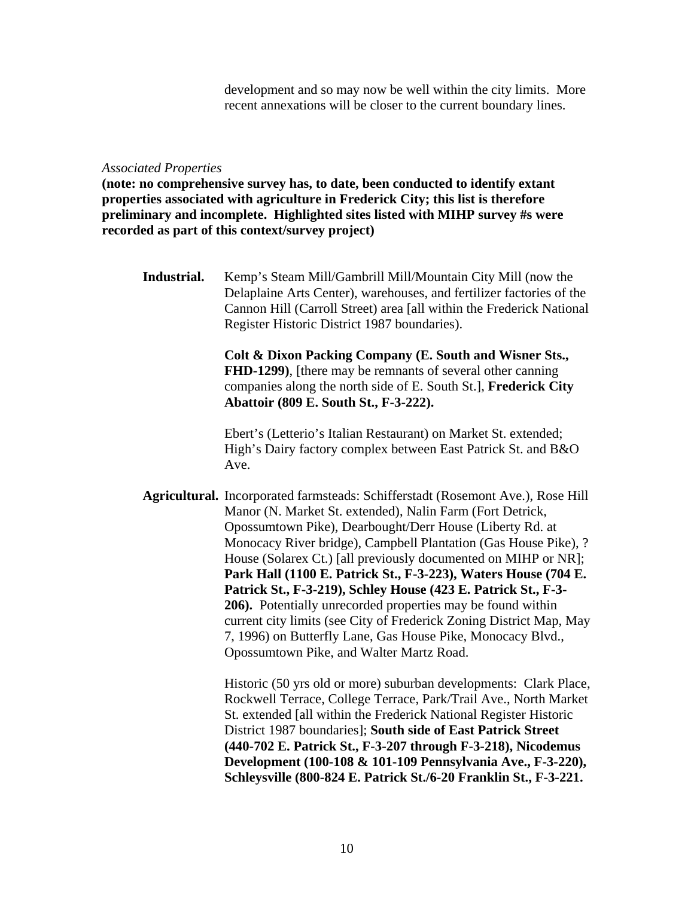development and so may now be well within the city limits. More recent annexations will be closer to the current boundary lines.

#### *Associated Properties*

**(note: no comprehensive survey has, to date, been conducted to identify extant properties associated with agriculture in Frederick City; this list is therefore preliminary and incomplete. Highlighted sites listed with MIHP survey #s were recorded as part of this context/survey project)** 

**Industrial.** Kemp's Steam Mill/Gambrill Mill/Mountain City Mill (now the Delaplaine Arts Center), warehouses, and fertilizer factories of the Cannon Hill (Carroll Street) area [all within the Frederick National Register Historic District 1987 boundaries).

> **Colt & Dixon Packing Company (E. South and Wisner Sts., FHD-1299)**, [there may be remnants of several other canning companies along the north side of E. South St.], **Frederick City Abattoir (809 E. South St., F-3-222).**

Ebert's (Letterio's Italian Restaurant) on Market St. extended; High's Dairy factory complex between East Patrick St. and B&O Ave.

**Agricultural.** Incorporated farmsteads: Schifferstadt (Rosemont Ave.), Rose Hill Manor (N. Market St. extended), Nalin Farm (Fort Detrick, Opossumtown Pike), Dearbought/Derr House (Liberty Rd. at Monocacy River bridge), Campbell Plantation (Gas House Pike), ? House (Solarex Ct.) [all previously documented on MIHP or NR]; **Park Hall (1100 E. Patrick St., F-3-223), Waters House (704 E. Patrick St., F-3-219), Schley House (423 E. Patrick St., F-3- 206).** Potentially unrecorded properties may be found within current city limits (see City of Frederick Zoning District Map, May 7, 1996) on Butterfly Lane, Gas House Pike, Monocacy Blvd., Opossumtown Pike, and Walter Martz Road.

> Historic (50 yrs old or more) suburban developments: Clark Place, Rockwell Terrace, College Terrace, Park/Trail Ave., North Market St. extended [all within the Frederick National Register Historic District 1987 boundaries]; **South side of East Patrick Street (440-702 E. Patrick St., F-3-207 through F-3-218), Nicodemus Development (100-108 & 101-109 Pennsylvania Ave., F-3-220), Schleysville (800-824 E. Patrick St./6-20 Franklin St., F-3-221.**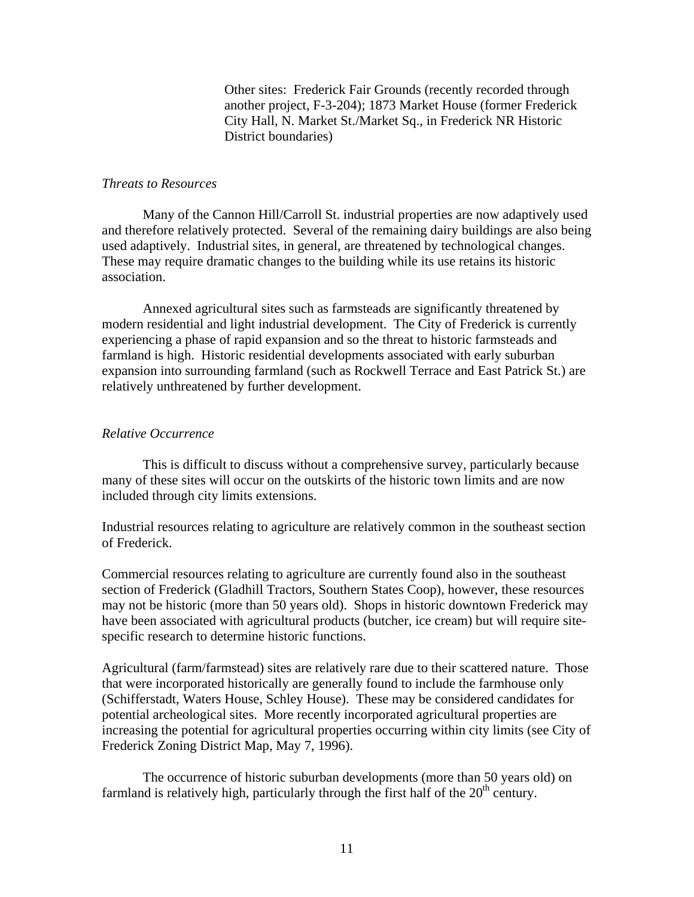Other sites: Frederick Fair Grounds (recently recorded through another project, F-3-204); 1873 Market House (former Frederick City Hall, N. Market St./Market Sq., in Frederick NR Historic District boundaries)

## *Threats to Resources*

Many of the Cannon Hill/Carroll St. industrial properties are now adaptively used and therefore relatively protected. Several of the remaining dairy buildings are also being used adaptively. Industrial sites, in general, are threatened by technological changes. These may require dramatic changes to the building while its use retains its historic association.

Annexed agricultural sites such as farmsteads are significantly threatened by modern residential and light industrial development. The City of Frederick is currently experiencing a phase of rapid expansion and so the threat to historic farmsteads and farmland is high. Historic residential developments associated with early suburban expansion into surrounding farmland (such as Rockwell Terrace and East Patrick St.) are relatively unthreatened by further development.

#### *Relative Occurrence*

This is difficult to discuss without a comprehensive survey, particularly because many of these sites will occur on the outskirts of the historic town limits and are now included through city limits extensions.

Industrial resources relating to agriculture are relatively common in the southeast section of Frederick.

Commercial resources relating to agriculture are currently found also in the southeast section of Frederick (Gladhill Tractors, Southern States Coop), however, these resources may not be historic (more than 50 years old). Shops in historic downtown Frederick may have been associated with agricultural products (butcher, ice cream) but will require sitespecific research to determine historic functions.

Agricultural (farm/farmstead) sites are relatively rare due to their scattered nature. Those that were incorporated historically are generally found to include the farmhouse only (Schifferstadt, Waters House, Schley House). These may be considered candidates for potential archeological sites. More recently incorporated agricultural properties are increasing the potential for agricultural properties occurring within city limits (see City of Frederick Zoning District Map, May 7, 1996).

The occurrence of historic suburban developments (more than 50 years old) on farmland is relatively high, particularly through the first half of the  $20<sup>th</sup>$  century.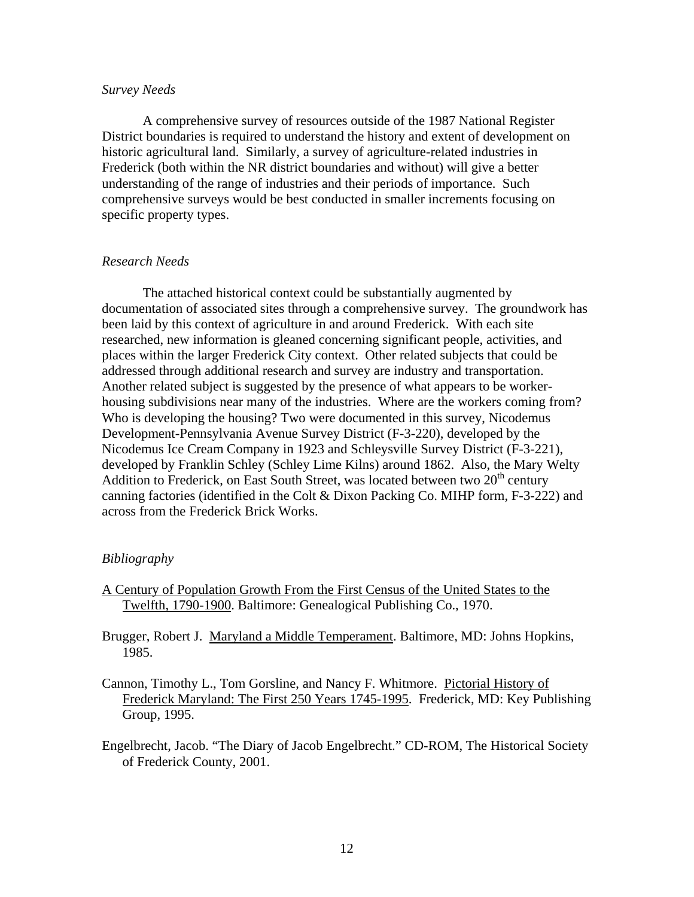## *Survey Needs*

A comprehensive survey of resources outside of the 1987 National Register District boundaries is required to understand the history and extent of development on historic agricultural land. Similarly, a survey of agriculture-related industries in Frederick (both within the NR district boundaries and without) will give a better understanding of the range of industries and their periods of importance. Such comprehensive surveys would be best conducted in smaller increments focusing on specific property types.

# *Research Needs*

The attached historical context could be substantially augmented by documentation of associated sites through a comprehensive survey. The groundwork has been laid by this context of agriculture in and around Frederick. With each site researched, new information is gleaned concerning significant people, activities, and places within the larger Frederick City context. Other related subjects that could be addressed through additional research and survey are industry and transportation. Another related subject is suggested by the presence of what appears to be workerhousing subdivisions near many of the industries. Where are the workers coming from? Who is developing the housing? Two were documented in this survey, Nicodemus Development-Pennsylvania Avenue Survey District (F-3-220), developed by the Nicodemus Ice Cream Company in 1923 and Schleysville Survey District (F-3-221), developed by Franklin Schley (Schley Lime Kilns) around 1862. Also, the Mary Welty Addition to Frederick, on East South Street, was located between two  $20<sup>th</sup>$  century canning factories (identified in the Colt & Dixon Packing Co. MIHP form, F-3-222) and across from the Frederick Brick Works.

# *Bibliography*

- A Century of Population Growth From the First Census of the United States to the Twelfth, 1790-1900. Baltimore: Genealogical Publishing Co., 1970.
- Brugger, Robert J. Maryland a Middle Temperament. Baltimore, MD: Johns Hopkins, 1985.
- Cannon, Timothy L., Tom Gorsline, and Nancy F. Whitmore. Pictorial History of Frederick Maryland: The First 250 Years 1745-1995. Frederick, MD: Key Publishing Group, 1995.
- Engelbrecht, Jacob. "The Diary of Jacob Engelbrecht." CD-ROM, The Historical Society of Frederick County, 2001.